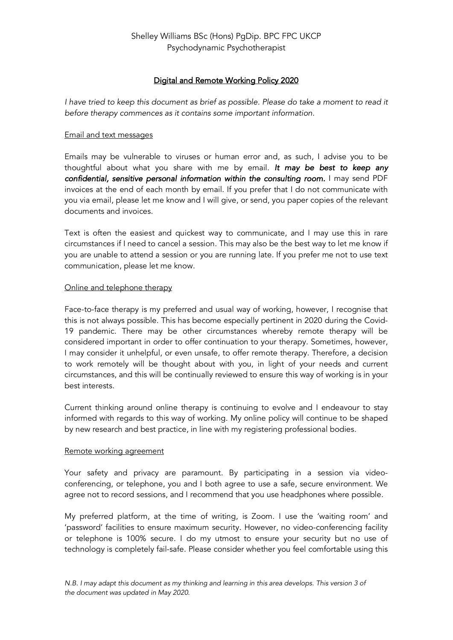# Digital and Remote Working Policy 2020

*I have tried to keep this document as brief as possible. Please do take a moment to read it before therapy commences as it contains some important information.*

### Email and text messages

Emails may be vulnerable to viruses or human error and, as such, I advise you to be thoughtful about what you share with me by email. *It may be best to keep any confidential, sensitive personal information within the consulting room.* I may send PDF invoices at the end of each month by email. If you prefer that I do not communicate with you via email, please let me know and I will give, or send, you paper copies of the relevant documents and invoices.

Text is often the easiest and quickest way to communicate, and I may use this in rare circumstances if I need to cancel a session. This may also be the best way to let me know if you are unable to attend a session or you are running late. If you prefer me not to use text communication, please let me know.

# Online and telephone therapy

Face-to-face therapy is my preferred and usual way of working, however, I recognise that this is not always possible. This has become especially pertinent in 2020 during the Covid-19 pandemic. There may be other circumstances whereby remote therapy will be considered important in order to offer continuation to your therapy. Sometimes, however, I may consider it unhelpful, or even unsafe, to offer remote therapy. Therefore, a decision to work remotely will be thought about with you, in light of your needs and current circumstances, and this will be continually reviewed to ensure this way of working is in your best interests.

Current thinking around online therapy is continuing to evolve and I endeavour to stay informed with regards to this way of working. My online policy will continue to be shaped by new research and best practice, in line with my registering professional bodies.

#### Remote working agreement

Your safety and privacy are paramount. By participating in a session via videoconferencing, or telephone, you and I both agree to use a safe, secure environment. We agree not to record sessions, and I recommend that you use headphones where possible.

My preferred platform, at the time of writing, is Zoom. I use the 'waiting room' and 'password' facilities to ensure maximum security. However, no video-conferencing facility or telephone is 100% secure. I do my utmost to ensure your security but no use of technology is completely fail-safe. Please consider whether you feel comfortable using this